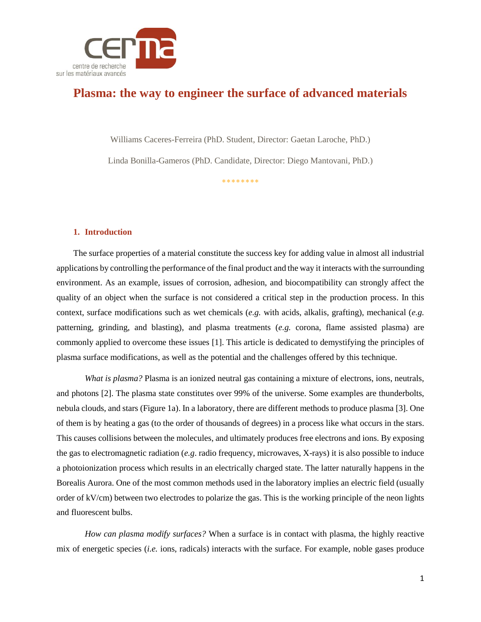

# **Plasma: the way to engineer the surface of advanced materials**

Williams Caceres-Ferreira (PhD. Student, Director: Gaetan Laroche, PhD.)

Linda Bonilla-Gameros (PhD. Candidate, Director: Diego Mantovani, PhD.)

\*\*\*\*\*\*\*\*

# **1. Introduction**

The surface properties of a material constitute the success key for adding value in almost all industrial applications by controlling the performance of the final product and the way it interacts with the surrounding environment. As an example, issues of corrosion, adhesion, and biocompatibility can strongly affect the quality of an object when the surface is not considered a critical step in the production process. In this context, surface modifications such as wet chemicals (*e.g.* with acids, alkalis, grafting), mechanical (*e.g.*  patterning, grinding, and blasting), and plasma treatments (*e.g.* corona, flame assisted plasma) are commonly applied to overcome these issues [1]. This article is dedicated to demystifying the principles of plasma surface modifications, as well as the potential and the challenges offered by this technique.

*What is plasma?* Plasma is an ionized neutral gas containing a mixture of electrons, ions, neutrals, and photons [2]. The plasma state constitutes over 99% of the universe. Some examples are thunderbolts, nebula clouds, and stars (Figure 1a). In a laboratory, there are different methods to produce plasma [3]. One of them is by heating a gas (to the order of thousands of degrees) in a process like what occurs in the stars. This causes collisions between the molecules, and ultimately produces free electrons and ions. By exposing the gas to electromagnetic radiation (*e.g*. radio frequency, microwaves, X-rays) it is also possible to induce a photoionization process which results in an electrically charged state. The latter naturally happens in the Borealis Aurora. One of the most common methods used in the laboratory implies an electric field (usually order of kV/cm) between two electrodes to polarize the gas. This is the working principle of the neon lights and fluorescent bulbs.

*How can plasma modify surfaces?* When a surface is in contact with plasma, the highly reactive mix of energetic species (*i.e.* ions, radicals) interacts with the surface. For example, noble gases produce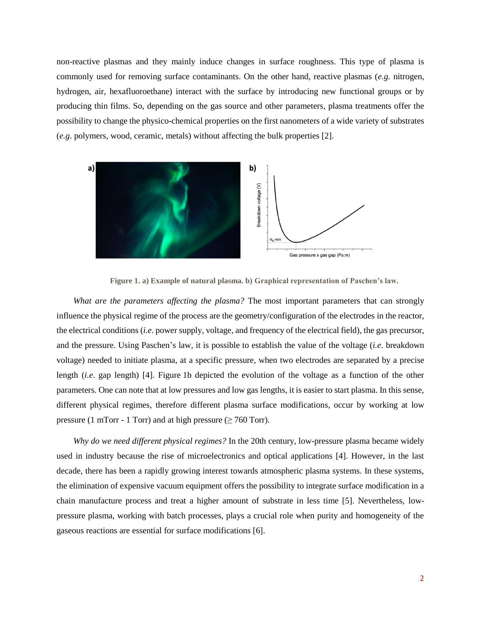non-reactive plasmas and they mainly induce changes in surface roughness. This type of plasma is commonly used for removing surface contaminants. On the other hand, reactive plasmas (*e.g.* nitrogen, hydrogen, air, hexafluoroethane) interact with the surface by introducing new functional groups or by producing thin films. So, depending on the gas source and other parameters, plasma treatments offer the possibility to change the physico-chemical properties on the first nanometers of a wide variety of substrates (*e.g*. polymers, wood, ceramic, metals) without affecting the bulk properties [2].



**Figure 1. a) Example of natural plasma. b) Graphical representation of Paschen's law.**

*What are the parameters affecting the plasma?* The most important parameters that can strongly influence the physical regime of the process are the geometry/configuration of the electrodes in the reactor, the electrical conditions (*i.e*. power supply, voltage, and frequency of the electrical field), the gas precursor, and the pressure. Using Paschen's law, it is possible to establish the value of the voltage (*i.e*. breakdown voltage) needed to initiate plasma, at a specific pressure, when two electrodes are separated by a precise length (*i.e*. gap length) [4]. Figure 1b depicted the evolution of the voltage as a function of the other parameters. One can note that at low pressures and low gas lengths, it is easier to start plasma. In this sense, different physical regimes, therefore different plasma surface modifications, occur by working at low pressure (1 mTorr - 1 Torr) and at high pressure ( $\geq$  760 Torr).

*Why do we need different physical regimes?* In the 20th century, low-pressure plasma became widely used in industry because the rise of microelectronics and optical applications [4]. However, in the last decade, there has been a rapidly growing interest towards atmospheric plasma systems. In these systems, the elimination of expensive vacuum equipment offers the possibility to integrate surface modification in a chain manufacture process and treat a higher amount of substrate in less time [5]. Nevertheless, lowpressure plasma, working with batch processes, plays a crucial role when purity and homogeneity of the gaseous reactions are essential for surface modifications [6].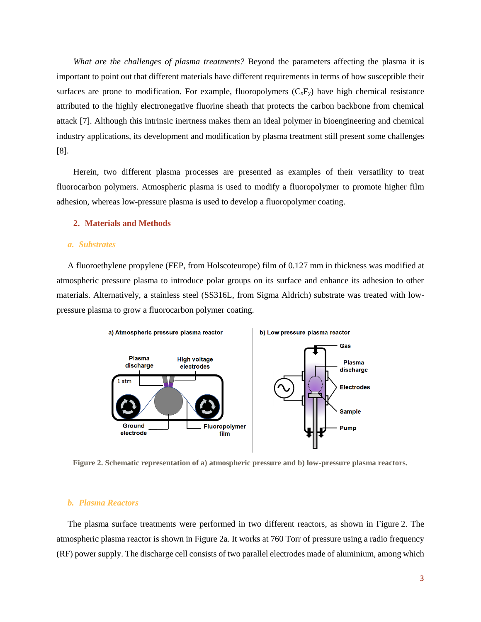*What are the challenges of plasma treatments?* Beyond the parameters affecting the plasma it is important to point out that different materials have different requirements in terms of how susceptible their surfaces are prone to modification. For example, fluoropolymers  $(C_xF_y)$  have high chemical resistance attributed to the highly electronegative fluorine sheath that protects the carbon backbone from chemical attack [7]. Although this intrinsic inertness makes them an ideal polymer in bioengineering and chemical industry applications, its development and modification by plasma treatment still present some challenges [8].

Herein, two different plasma processes are presented as examples of their versatility to treat fluorocarbon polymers. Atmospheric plasma is used to modify a fluoropolymer to promote higher film adhesion, whereas low-pressure plasma is used to develop a fluoropolymer coating.

#### **2. Materials and Methods**

#### *a. Substrates*

A fluoroethylene propylene (FEP, from Holscoteurope) film of 0.127 mm in thickness was modified at atmospheric pressure plasma to introduce polar groups on its surface and enhance its adhesion to other materials. Alternatively, a stainless steel (SS316L, from Sigma Aldrich) substrate was treated with lowpressure plasma to grow a fluorocarbon polymer coating.



**Figure 2. Schematic representation of a) atmospheric pressure and b) low-pressure plasma reactors.**

# *b. Plasma Reactors*

The plasma surface treatments were performed in two different reactors, as shown in Figure 2. The atmospheric plasma reactor is shown in Figure 2a. It works at 760 Torr of pressure using a radio frequency (RF) power supply. The discharge cell consists of two parallel electrodes made of aluminium, among which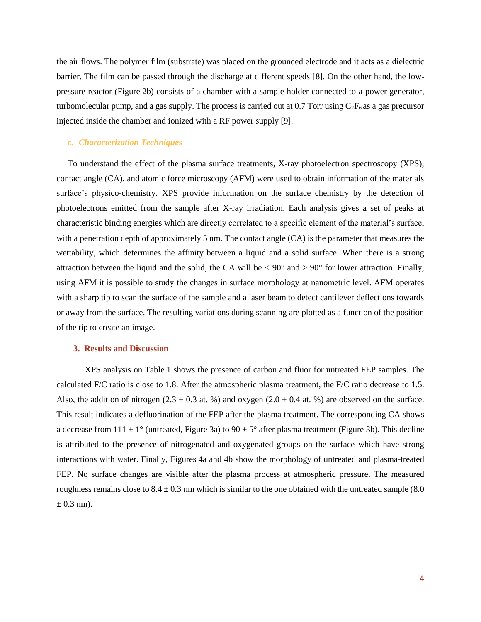the air flows. The polymer film (substrate) was placed on the grounded electrode and it acts as a dielectric barrier. The film can be passed through the discharge at different speeds [8]. On the other hand, the lowpressure reactor (Figure 2b) consists of a chamber with a sample holder connected to a power generator, turbomolecular pump, and a gas supply. The process is carried out at 0.7 Torr using  $C_2F_6$  as a gas precursor injected inside the chamber and ionized with a RF power supply [9].

#### *c. Characterization Techniques*

To understand the effect of the plasma surface treatments, X-ray photoelectron spectroscopy (XPS), contact angle (CA), and atomic force microscopy (AFM) were used to obtain information of the materials surface's physico-chemistry. XPS provide information on the surface chemistry by the detection of photoelectrons emitted from the sample after X-ray irradiation. Each analysis gives a set of peaks at characteristic binding energies which are directly correlated to a specific element of the material's surface, with a penetration depth of approximately 5 nm. The contact angle (CA) is the parameter that measures the wettability, which determines the affinity between a liquid and a solid surface. When there is a strong attraction between the liquid and the solid, the CA will be  $< 90^{\circ}$  and  $> 90^{\circ}$  for lower attraction. Finally, using AFM it is possible to study the changes in surface morphology at nanometric level. AFM operates with a sharp tip to scan the surface of the sample and a laser beam to detect cantilever deflections towards or away from the surface. The resulting variations during scanning are plotted as a function of the position of the tip to create an image.

# **3. Results and Discussion**

XPS analysis on Table 1 shows the presence of carbon and fluor for untreated FEP samples. The calculated F/C ratio is close to 1.8. After the atmospheric plasma treatment, the F/C ratio decrease to 1.5. Also, the addition of nitrogen (2.3  $\pm$  0.3 at. %) and oxygen (2.0  $\pm$  0.4 at. %) are observed on the surface. This result indicates a defluorination of the FEP after the plasma treatment. The corresponding CA shows a decrease from  $111 \pm 1^\circ$  (untreated, Figure 3a) to  $90 \pm 5^\circ$  after plasma treatment (Figure 3b). This decline is attributed to the presence of nitrogenated and oxygenated groups on the surface which have strong interactions with water. Finally, Figures 4a and 4b show the morphology of untreated and plasma-treated FEP. No surface changes are visible after the plasma process at atmospheric pressure. The measured roughness remains close to  $8.4 \pm 0.3$  nm which is similar to the one obtained with the untreated sample (8.0)  $\pm$  0.3 nm).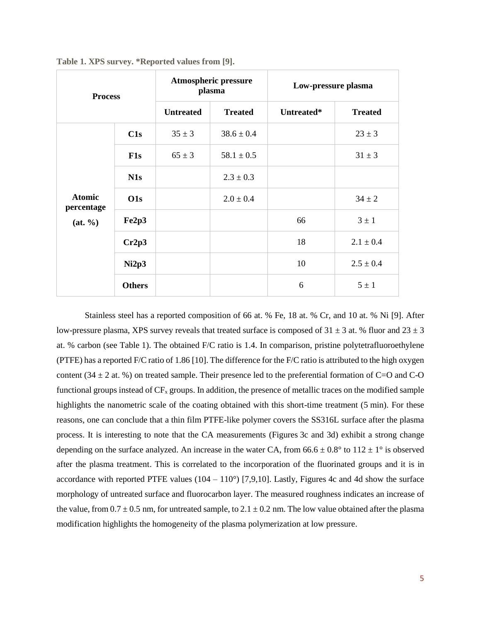| <b>Process</b>                           |               | <b>Atmospheric pressure</b><br>plasma |                | Low-pressure plasma |                |
|------------------------------------------|---------------|---------------------------------------|----------------|---------------------|----------------|
|                                          |               | <b>Untreated</b>                      | <b>Treated</b> | Untreated*          | <b>Treated</b> |
| <b>Atomic</b><br>percentage<br>(at, 9/0) | C1s           | $35 \pm 3$                            | $38.6 \pm 0.4$ |                     | $23 \pm 3$     |
|                                          | $F1s$         | $65 \pm 3$                            | $58.1 \pm 0.5$ |                     | $31 \pm 3$     |
|                                          | N1s           |                                       | $2.3 \pm 0.3$  |                     |                |
|                                          | O1s           |                                       | $2.0 \pm 0.4$  |                     | $34 \pm 2$     |
|                                          | Fe2p3         |                                       |                | 66                  | $3 \pm 1$      |
|                                          | Cr2p3         |                                       |                | 18                  | $2.1 \pm 0.4$  |
|                                          | Ni2p3         |                                       |                | 10                  | $2.5 \pm 0.4$  |
|                                          | <b>Others</b> |                                       |                | 6                   | $5 \pm 1$      |

**Table 1. XPS survey. \*Reported values from [9].**

Stainless steel has a reported composition of 66 at. % Fe, 18 at. % Cr, and 10 at. % Ni [9]. After low-pressure plasma, XPS survey reveals that treated surface is composed of  $31 \pm 3$  at. % fluor and  $23 \pm 3$ at. % carbon (see Table 1). The obtained F/C ratio is 1.4. In comparison, pristine polytetrafluoroethylene (PTFE) has a reported F/C ratio of 1.86 [10]. The difference for the F/C ratio is attributed to the high oxygen content (34  $\pm$  2 at. %) on treated sample. Their presence led to the preferential formation of C=O and C-O functional groups instead of  $CF_x$  groups. In addition, the presence of metallic traces on the modified sample highlights the nanometric scale of the coating obtained with this short-time treatment (5 min). For these reasons, one can conclude that a thin film PTFE-like polymer covers the SS316L surface after the plasma process. It is interesting to note that the CA measurements (Figures 3c and 3d) exhibit a strong change depending on the surface analyzed. An increase in the water CA, from  $66.6 \pm 0.8^{\circ}$  to  $112 \pm 1^{\circ}$  is observed after the plasma treatment. This is correlated to the incorporation of the fluorinated groups and it is in accordance with reported PTFE values  $(104 - 110^{\circ})$  [7,9,10]. Lastly, Figures 4c and 4d show the surface morphology of untreated surface and fluorocarbon layer. The measured roughness indicates an increase of the value, from  $0.7 \pm 0.5$  nm, for untreated sample, to  $2.1 \pm 0.2$  nm. The low value obtained after the plasma modification highlights the homogeneity of the plasma polymerization at low pressure.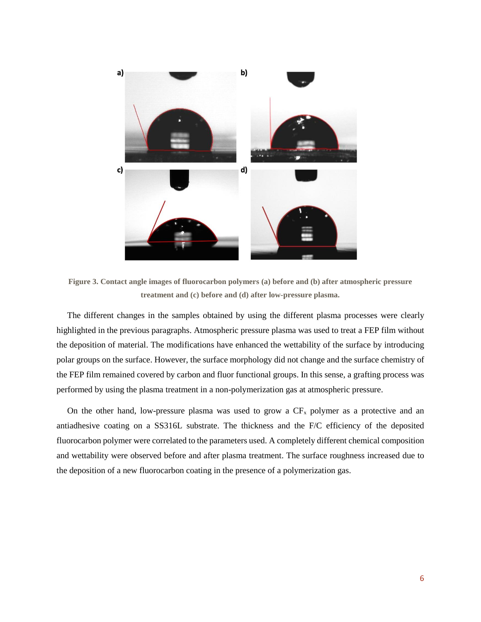

**Figure 3. Contact angle images of fluorocarbon polymers (a) before and (b) after atmospheric pressure treatment and (c) before and (d) after low-pressure plasma.**

The different changes in the samples obtained by using the different plasma processes were clearly highlighted in the previous paragraphs. Atmospheric pressure plasma was used to treat a FEP film without the deposition of material. The modifications have enhanced the wettability of the surface by introducing polar groups on the surface. However, the surface morphology did not change and the surface chemistry of the FEP film remained covered by carbon and fluor functional groups. In this sense, a grafting process was performed by using the plasma treatment in a non-polymerization gas at atmospheric pressure.

On the other hand, low-pressure plasma was used to grow a  $CF<sub>x</sub>$  polymer as a protective and an antiadhesive coating on a SS316L substrate. The thickness and the F/C efficiency of the deposited fluorocarbon polymer were correlated to the parameters used. A completely different chemical composition and wettability were observed before and after plasma treatment. The surface roughness increased due to the deposition of a new fluorocarbon coating in the presence of a polymerization gas.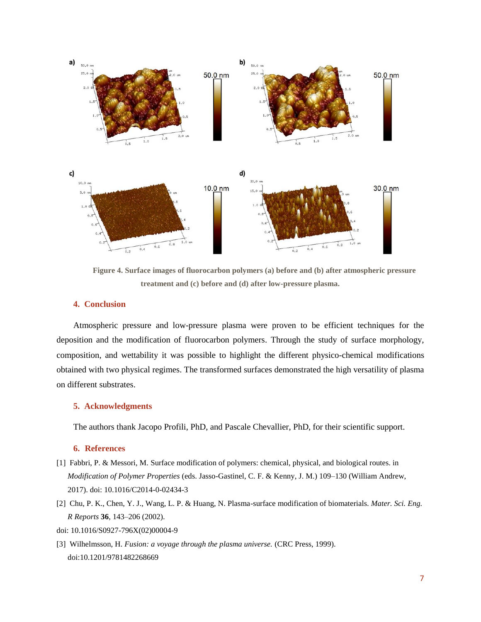

**Figure 4. Surface images of fluorocarbon polymers (a) before and (b) after atmospheric pressure treatment and (c) before and (d) after low-pressure plasma.**

#### **4. Conclusion**

Atmospheric pressure and low-pressure plasma were proven to be efficient techniques for the deposition and the modification of fluorocarbon polymers. Through the study of surface morphology, composition, and wettability it was possible to highlight the different physico-chemical modifications obtained with two physical regimes. The transformed surfaces demonstrated the high versatility of plasma on different substrates.

# **5. Acknowledgments**

The authors thank Jacopo Profili, PhD, and Pascale Chevallier, PhD, for their scientific support.

#### **6. References**

- [1] Fabbri, P. & Messori, M. Surface modification of polymers: chemical, physical, and biological routes. in *Modification of Polymer Properties* (eds. Jasso-Gastinel, C. F. & Kenny, J. M.) 109–130 (William Andrew, 2017). doi: 10.1016/C2014-0-02434-3
- [2] Chu, P. K., Chen, Y. J., Wang, L. P. & Huang, N. Plasma-surface modification of biomaterials. *Mater. Sci. Eng. R Reports* **36**, 143–206 (2002).
- doi: 10.1016/S0927-796X(02)00004-9
- [3] Wilhelmsson, H. *Fusion: a voyage through the plasma universe.* (CRC Press, 1999). doi:10.1201/9781482268669